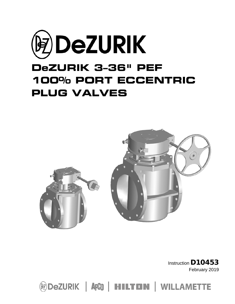



Instruction D10453 February 2019

**@DeZURIK | ApCO | HILTON | WILLAMETTE**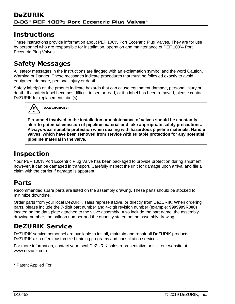## Instructions

These instructions provide information about PEF 100% Port Eccentric Plug Valves. They are for use by personnel who are responsible for installation, operation and maintenance of PEF 100% Port Eccentric Plug Valves.

# Safety Messages

All safety messages in the instructions are flagged with an exclamation symbol and the word Caution, Warning or Danger. These messages indicate procedures that must be followed exactly to avoid equipment damage, personal injury or death.

Safety label(s) on the product indicate hazards that can cause equipment damage, personal injury or death. If a safety label becomes difficult to see or read, or if a label has been removed, please contact DeZURIK for replacement label(s).



**Personnel involved in the installation or maintenance of valves should be constantly alert to potential emission of pipeline material and take appropriate safety precautions. Always wear suitable protection when dealing with hazardous pipeline materials. Handle valves, which have been removed from service with suitable protection for any potential pipeline material in the valve.**

# Inspection

Your PEF 100% Port Eccentric Plug Valve has been packaged to provide protection during shipment, however, it can be damaged in transport. Carefully inspect the unit for damage upon arrival and file a claim with the carrier if damage is apparent.

# Parts

Recommended spare parts are listed on the assembly drawing. These parts should be stocked to minimize downtime.

Order parts from your local DeZURIK sales representative, or directly from DeZURIK. When ordering parts, please include the 7-digit part number and 4-digit revision number (example: **9999999R000**) located on the data plate attached to the valve assembly. Also include the part name, the assembly drawing number, the balloon number and the quantity stated on the assembly drawing.

# DeZURIK Service

DeZURIK service personnel are available to install, maintain and repair all DeZURIK products. DeZURIK also offers customized training programs and consultation services.

For more information, contact your local DeZURIK sales representative or visit our website at www.dezurik.com.

\* Patent Applied For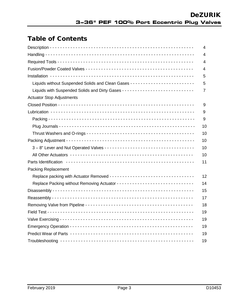## Table of Contents

|                                                                             | 4  |
|-----------------------------------------------------------------------------|----|
|                                                                             | 4  |
|                                                                             | 4  |
|                                                                             | 4  |
|                                                                             | 5  |
| Liquids without Suspended Solids and Clean Gases -------------------------- | 5  |
|                                                                             | 7  |
| <b>Actuator Stop Adjustments</b>                                            |    |
|                                                                             | 9  |
|                                                                             | 9  |
|                                                                             | 9  |
|                                                                             | 10 |
|                                                                             | 10 |
|                                                                             | 10 |
|                                                                             | 10 |
|                                                                             | 10 |
|                                                                             | 11 |
| <b>Packing Replacement</b>                                                  |    |
|                                                                             | 12 |
|                                                                             | 14 |
|                                                                             | 15 |
|                                                                             | 17 |
|                                                                             | 18 |
|                                                                             | 19 |
|                                                                             | 19 |
|                                                                             | 19 |
|                                                                             | 19 |
|                                                                             | 19 |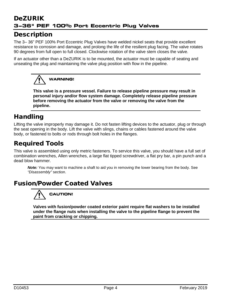## DeZURIK 3-36" PEF 100% Port Eccentric Plug Valves

## **Description**

The 3– 36" PEF 100% Port Eccentric Plug Valves have welded nickel seats that provide excellent resistance to corrosion and damage, and prolong the life of the resilient plug facing. The valve rotates 90 degrees from full open to full closed. Clockwise rotation of the valve stem closes the valve.

If an actuator other than a DeZURIK is to be mounted, the actuator must be capable of seating and unseating the plug and maintaining the valve plug position with flow in the pipeline.



**This valve is a pressure vessel. Failure to release pipeline pressure may result in personal injury and/or flow system damage. Completely release pipeline pressure before removing the actuator from the valve or removing the valve from the pipeline.**

# Handling

Lifting the valve improperly may damage it. Do not fasten lifting devices to the actuator, plug or through the seat opening in the body. Lift the valve with slings, chains or cables fastened around the valve body, or fastened to bolts or rods through bolt holes in the flanges.

## Required Tools

This valve is assembled using only metric fasteners. To service this valve, you should have a full set of combination wrenches, Allen wrenches, a large flat tipped screwdriver, a flat pry bar, a pin punch and a dead blow hammer.

*Note:* You may want to machine a shaft to aid you in removing the lower bearing from the body. See *"Disassembly"* section.

## Fusion/Powder Coated Valves



**Valves with fusion/powder coated exterior paint require flat washers to be installed under the flange nuts when installing the valve to the pipeline flange to prevent the paint from cracking or chipping.**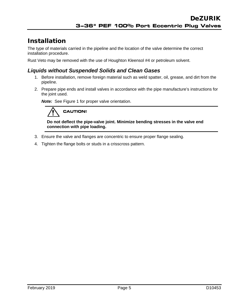# Installation

The type of materials carried in the pipeline and the location of the valve determine the correct installation procedure.

Rust Veto may be removed with the use of Houghton Kleensol #4 or petroleum solvent.

#### *Liquids without Suspended Solids and Clean Gases*

- 1. Before installation, remove foreign material such as weld spatter, oil, grease, and dirt from the pipeline.
- 2. Prepare pipe ends and install valves in accordance with the pipe manufacture's instructions for the joint used.

*Note:*See Figure 1 for proper valve orientation.

# **CAUTION!**

**Do not deflect the pipe-valve joint. Minimize bending stresses in the valve end connection with pipe loading.**

- 3. Ensure the valve and flanges are concentric to ensure proper flange sealing.
- 4. Tighten the flange bolts or studs in a crisscross pattern.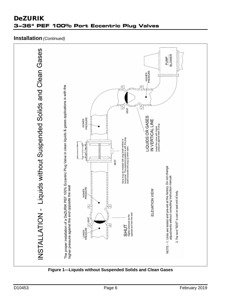# INSTALLATION - Liquids without Suspended Solids and Clean Gases **BLOWER PUMP** HIGHER<br>PRESSURE The proper installation of a DeZURIK PEF 100% Eccentric Plug Valve in clean liquids & gases applications is with the<br>higher pressure against the end opposite the seat M **SEAT** LIQUIDS OR GASES HIGHER<br>PRESSURE IN VERTICAL LINE Install the valve with higher<br>pressure against back of plug. Valve may be installed with plug shaft vertical or<br>horizontal. The preferred position is with the plug<br>shaft horizontal with plug up when open. **SEAT** NOTE - 1. Units are tested and pre-set at the factory. Do not change<br>adjustments without consulting instruction manual. HIGHER<br>PRESSURE ELEVATION VIEW 2. The word "SEAT" is cast on seat end of body.  $\mathop{\mathsf{SHUT}}\limits_{\mathop{\mathsf{H}}\nolimits\mathop{\mathsf{g}}\nolimits\mathop{\mathsf{f}}\nolimits\mathop{\mathsf{g}}\nolimits\mathop{\mathsf{g}}\nolimits\mathop{\mathsf{g}}\nolimits\mathop{\mathsf{g}}\nolimits\mathop{\mathsf{a}}\nolimits\mathop{\mathsf{d}}\nolimits\mathop{\mathsf{f}}\nolimits\mathop{\mathsf{g}}\nolimits\mathop{\mathsf{a}}\nolimits\mathop{\mathsf{d}}\nolimits\mathop{\mathsf{f}}\nolimits\mathop{\mathsf{g}}\nolimits\mathop{\mathsf{a}}\n$  $T$  SEAT LOWER<br>PRESSURE

## **DeZURIK** 3-36" PEF 100% Port Eccentric Plug Valves

**Installation** (Continued)

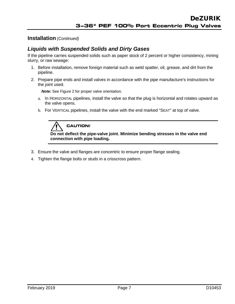#### **Installation** *(Continued)*

#### *Liquids with Suspended Solids and Dirty Gases*

If the pipeline carries suspended solids such as paper stock of 2 percent or higher consistency, mining slurry, or raw sewage:

- 1. Before installation, remove foreign material such as weld spatter, oil, grease, and dirt from the pipeline.
- 2. Prepare pipe ends and install valves in accordance with the pipe manufacture's instructions for the joint used.

*Note:* See Figure 2 for proper valve orientation.

- a. In HORIZONTAL pipelines, install the valve so that the plug is horizontal and rotates upward as the valve opens.
- b. For VERTICAL pipelines, install the valve with the end marked "SEAT" at top of valve.



**Do not deflect the pipe-valve joint. Minimize bending stresses in the valve end connection with pipe loading.**

- 3. Ensure the valve and flanges are concentric to ensure proper flange sealing.
- 4. Tighten the flange bolts or studs in a crisscross pattern.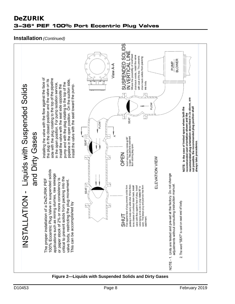## **DeZURIK** 3-36" PEF 100% Port Eccentric Plug Valves

#### **Installation** (Continued)



#### Figure 2-Liquids with Suspended Solids and Dirty Gases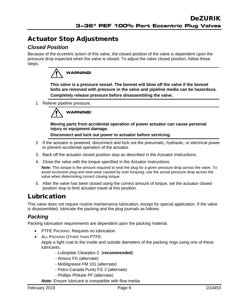## Actuator Stop Adjustments

### *Closed Position*

Because of the eccentric action of this valve, the closed position of the valve is dependent upon the pressure drop expected when the valve is closed. To adjust the valve closed position, follow these steps:



**This valve is a pressure vessel. The bonnet will blow off the valve if the bonnet bolts are removed with pressure in the valve and pipeline media can be hazardous. Completely release pressure before disassembling the valve.**

1. Relieve pipeline pressure.



**Moving parts from accidental operation of power actuator can cause personal injury or equipment damage.** 

**Disconnect and lock out power to actuator before servicing.**

- 2. If the actuator is powered, disconnect and lock out the pneumatic, hydraulic, or electrical power to prevent accidental operation of the actuator.
- 3. Back off the actuator closed position stop as described in the Actuator Instructions.
- 4. Close the valve with the torque specified in the Actuator Instructions.

**Note:** This torque is the amount required to seat the plug for a given pressure drop across the valve. To avoid excessive plug and seat wear caused by over torquing, use the actual pressure drop across the valve when determining correct closing torque.

5. After the valve has been closed using the correct amount of torque, set the actuator closed position stop to limit actuator travel at this position.

## Lubrication

This valve does not require routine maintenance lubrication, except for special application. If the valve is disassembled, lubricate the packing and the plug journals as follows:

### *Packing*

Packing lubrication requirements are dependent upon the packing material.

- PTFE PACKING: Requires no lubrication.
- ALL PACKING OTHER THAN PTFE:

Apply a light coat to the inside and outside diameters of the packing rings using one of these lubricants.

- Lubriplate Clearplex-2 (**recommended**)
- Amoco FG (alternate)
- Mobilgrease FM 101 (alternate)
- Petro-Canada Purity FG 2 (alternate)
- Phillips Philube PF (alternate)

*Note:* Ensure lubricant is compatible with flow media.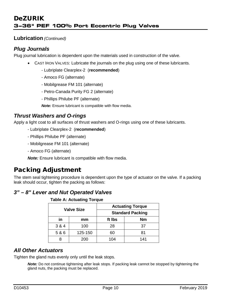#### **Lubrication** *(Continued)*

### *Plug Journals*

Plug journal lubrication is dependent upon the materials used in construction of the valve.

- CAST IRON VALVES: Lubricate the journals on the plug using one of these lubricants.
	- Lubriplate Clearplex-2 (**recommended**)
	- Amoco FG (alternate)
	- Mobilgrease FM 101 (alternate)
	- Petro-Canada Purity FG 2 (alternate)
	- Phillips Philube PF (alternate)

*Note:* Ensure lubricant is compatible with flow media.

#### *Thrust Washers and O-rings*

Apply a light coat to all surfaces of thrust washers and O-rings using one of these lubricants.

- Lubriplate Clearplex-2 (**recommended**)
- Phillips Philube PF (alternate)
- Mobilgrease FM 101 (alternate)
- Amoco FG (alternate)

*Note:* Ensure lubricant is compatible with flow media.

## Packing Adjustment

The stem seal tightening procedure is dependent upon the type of actuator on the valve. If a packing leak should occur, tighten the packing as follows:

### *3" – 8" Lever and Nut Operated Valves*

|  |  | <b>Table A: Actuating Torque</b> |  |
|--|--|----------------------------------|--|
|--|--|----------------------------------|--|

| <b>Valve Size</b> |         |        | <b>Actuating Torque</b> |
|-------------------|---------|--------|-------------------------|
|                   |         |        | <b>Standard Packing</b> |
| in                | mm      | ft Ibs | <b>Nm</b>               |
| 3 & 4             | 100     | 28     | 37                      |
| 5 & 6             | 125-150 | 60     | 81                      |
|                   | 200     | 104    | 141                     |

#### *All Other Actuators*

Tighten the gland nuts evenly only until the leak stops.

*Note:* Do not continue tightening after leak stops. If packing leak cannot be stopped by tightening the gland nuts, the packing must be replaced.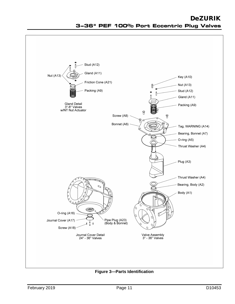## Stud (A12) Gland (A11) **Nut (A13)** Key (A10) Friction Cone (A21) **Nut (A13)** Packing (A9) Stud (A12) Gland (A11) Gland Detail<br>3"-8" Valves<br>w/NT Nut Actuator Packing (A9)  $\Theta$ Screw (A8)  $\theta$ 8 Bonnet (A6) Tag, WARNING (A14) Bearing, Bonnet (A7) O-ring (A5) Thrust Washer (A4) Plug (A3) Thrust Washer (A4) Bearing, Body (A2) Body (A1)  $0<sub>0</sub>$ S O-ring (A16) Pipe Plug (A23)<br>(Body & Bonnet) Journal Cover (A17)  $\mathbf{a}$ Screw (A18) Journal Cover Detail<br>24" - 36" Valves Valve Assembly<br>3" - 36" Valves

**DeZURIK** 3-36" PEF 100% Port Eccentric Plug Valves

**Figure 3-Parts Identification**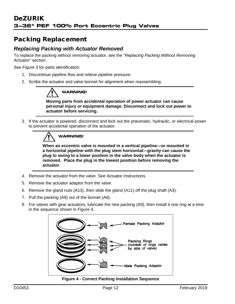## Packing Replacement

### *Replacing Packing with Actuator Removed*

To replace the packing without removing actuator, see the *"Replacing Packing Without Removing Actuator"* section.

See Figure 3 for parts identification.

- 1. Discontinue pipeline flow and relieve pipeline pressure.
- 2. Scribe the actuator and valve bonnet for alignment when reassembling.

# **WARNING!**

**Moving parts from accidental operation of power actuator can cause personal injury or equipment damage. Disconnect and lock out power to actuator before servicing.**

3. If the actuator is powered, disconnect and lock out the pneumatic, hydraulic, or electrical power to prevent accidental operation of the actuator.



**When an eccentric valve is mounted in a vertical pipeline—or mounted in a horizontal pipeline with the plug stem horizontal—gravity can cause the plug to swing to a lower position in the valve body when the actuator is removed. Place the plug in the lowest position before removing the actuator**.

- 4. Remove the actuator from the valve. See Actuator Instructions.
- 5. Remove the actuator adaptor from the valve.
- 6. Remove the gland nuts (A13), then slide the gland (A11) off the plug shaft (A3).
- 7. Pull the packing (A9) out of the bonnet (A6).
- 8. For valves with gear actuators, lubricate the new packing (A9), then install it one ring at a time in the sequence shown in Figure 4.



**Figure 4 - Correct Packing Installation Sequence**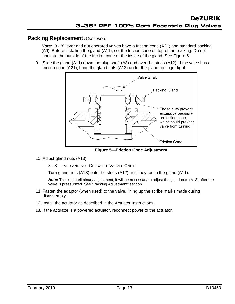#### **Packing Replacement** *(Continued)*

**Note:** 3 - 8" lever and nut operated valves have a friction cone (A21) and standard packing (A9). Before installing the gland (A11), set the friction cone on top of the packing. Do not lubricate the outside of the friction cone or the inside of the gland. See Figure 5.

9. Slide the gland (A11) down the plug shaft (A3) and over the studs (A12). If the valve has a friction cone (A21), bring the gland nuts (A13) under the gland up finger tight.



**Figure 5—Friction Cone Adjustment**

10. Adjust gland nuts (A13).

3 - 8" LEVER AND NUT OPERATED VALVES ONLY:

Turn gland nuts (A13) onto the studs (A12) until they touch the gland (A11).

*Note:* This is a preliminary adjustment, it will be necessary to adjust the gland nuts (A13) after the valve is pressurized. See "Packing Adjustment" section.

- 11. Fasten the adaptor (when used) to the valve, lining up the scribe marks made during disassembly.
- 12. Install the actuator as described in the Actuator Instructions.
- 13. If the actuator is a powered actuator, reconnect power to the actuator.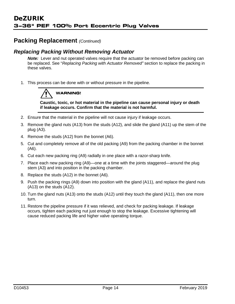### **Packing Replacement** *(Continued)*

#### *Replacing Packing Without Removing Actuator*

**Note:** Lever and nut operated valves require that the actuator be removed before packing can be replaced. See "*Replacing Packing with Actuator Removed"* section to replace the packing in these valves.

1. This process can be done with or without pressure in the pipeline.



**Caustic, toxic, or hot material in the pipeline can cause personal injury or death if leakage occurs. Confirm that the material is not harmful.**

- 2. Ensure that the material in the pipeline will not cause injury if leakage occurs.
- 3. Remove the gland nuts (A13) from the studs (A12), and slide the gland (A11) up the stem of the plug (A3).
- 4. Remove the studs (A12) from the bonnet (A6).
- 5. Cut and completely remove all of the old packing (A9) from the packing chamber in the bonnet (A6).
- 6. Cut each new packing ring (A9) radially in one place with a razor-sharp knife.
- 7. Place each new packing ring (A9)—one at a time with the joints staggered—around the plug stem (A3) and into position in the packing chamber.
- 8. Replace the studs (A12) in the bonnet (A6).
- 9. Push the packing rings (A9) down into position with the gland (A11), and replace the gland nuts (A13) on the studs (A12).
- 10. Turn the gland nuts (A13) onto the studs (A12) until they touch the gland (A11), then one more turn.
- 11. Restore the pipeline pressure if it was relieved, and check for packing leakage. If leakage occurs, tighten each packing nut just enough to stop the leakage. Excessive tightening will cause reduced packing life and higher valve operating torque.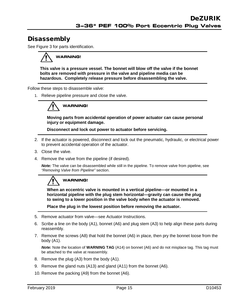# **Disassembly**

See Figure 3 for parts identification.

# **WARNING!**

**This valve is a pressure vessel. The bonnet will blow off the valve if the bonnet bolts are removed with pressure in the valve and pipeline media can be hazardous. Completely release pressure before disassembling the valve.**

Follow these steps to disassemble valve:

1. Relieve pipeline pressure and close the valve.

# **WARNING!**

**Moving parts from accidental operation of power actuator can cause personal injury or equipment damage.** 

**Disconnect and lock out power to actuator before servicing.**

- 2. If the actuator is powered, disconnect and lock out the pneumatic, hydraulic, or electrical power to prevent accidental operation of the actuator.
- 3. Close the valve.
- 4. Remove the valve from the pipeline (if desired).

*Note:* The valve can be disassembled while still in the pipeline. To remove valve from pipeline, see *"Removing Valve from Pipeline"* section.

# **WARNING!**

**When an eccentric valve is mounted in a vertical pipeline—or mounted in a horizontal pipeline with the plug stem horizontal—gravity can cause the plug to swing to a lower position in the valve body when the actuator is removed.**

**Place the plug in the lowest position before removing the actuator.**

- 5. Remove actuator from valve—see Actuator Instructions.
- 6. Scribe a line on the body (A1), bonnet (A6) and plug stem (A3) to help align these parts during reassembly.
- 7. Remove the screws (A8) that hold the bonnet (A6) in place, then pry the bonnet loose from the body (A1).

*Note:* Note the location of **WARNING TAG** (A14) on bonnet (A6) and do not misplace tag. This tag must be attached to the valve at reassembly.

- 8. Remove the plug (A3) from the body (A1).
- 9. Remove the gland nuts (A13) and gland (A11) from the bonnet (A6).
- 10. Remove the packing (A9) from the bonnet (A6).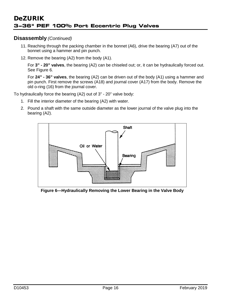#### **Disassembly** *(Continued)*

- 11. Reaching through the packing chamber in the bonnet (A6), drive the bearing (A7) out of the bonnet using a hammer and pin punch.
- 12. Remove the bearing (A2) from the body (A1).

For **3" - 20" valves**, the bearing (A2) can be chiseled out; or, it can be hydraulically forced out. See Figure 6.

For **24" - 36" valves**, the bearing (A2) can be driven out of the body (A1) using a hammer and pin punch. First remove the screws (A18) and journal cover (A17) from the body. Remove the old o-ring (16) from the journal cover.

To hydraulically force the bearing (A2) out of 3" - 20" valve body:

- 1. Fill the interior diameter of the bearing (A2) with water.
- 2. Pound a shaft with the same outside diameter as the lower journal of the valve plug into the bearing (A2).



**Figure 6—Hydraulically Removing the Lower Bearing in the Valve Body**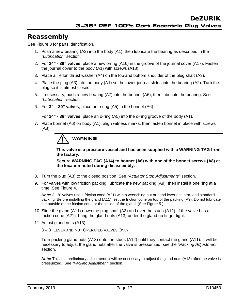## Reassembly

See Figure 3 for parts identification.

- 1. Push a new bearing (A2) into the body (A1), then lubricate the bearing as described in the *"Lubrication"* section.
- 2. For **24" - 36" valves**, place a new o-ring (A16) in the groove of the journal cover (A17). Fasten the journal cover to the body (A1) with screws (A18).
- 3. Place a Teflon thrust washer (A4) on the top and bottom shoulder of the plug shaft (A3).
- 4. Place the plug (A3) into the body (A1) so the lower journal slides into the bearing (A2). Turn the plug so it is almost closed.
- 5. If necessary, push a new bearing (A7) into the bonnet (A6), then lubricate the bearing. See *"Lubrication"* section.
- 6. For **3" – 20" valves**, place an o-ring (A5) in the bonnet (A6).

For **24" - 36" valves**, place an o-ring (A5) into the o-ring groove of the body (A1).

7. Place bonnet (A6) on body (A1), align witness marks, then fasten bonnet in place with screws (A8).



**This valve is a pressure vessel and has been supplied with a WARNING TAG from the factory.**

**Secure WARNING TAG (A14) to bonnet (A6) with one of the bonnet screws (A8) at the location noted during disassembly.**

- 8. Turn the plug (A3) to the closed position. See *"Actuator Stop Adjustments"* section.
- 9. For valves with low friction packing, lubricate the new packing (A9), then install it one ring at a time. See Figure 4.

*Note:* 3 - 8" valves use a friction cone (A21) with a wrenching nut or hand lever actuator, and standard packing. Before installing the gland (A11), set the friction cone on top of the packing (A9). Do not lubricate the outside of the friction cone or the inside of the gland. (See Figure 5.)

- 10. Slide the gland (A11) down the plug shaft (A3) and over the studs (A12). If the valve has a friction cone (A21), bring the gland nuts (A13) under the gland up finger tight.
- 11. Adjust gland nuts (A13).

3 – 8" LEVER AND NUT OPERATED VALVES ONLY:

Turn packing gland nuts (A13) onto the studs (A12) until they contact the gland (A11). It will be necessary to adjust the gland nuts after the valve is pressurized; see the *"Packing Adjustment"* section.

*Note:* This is a preliminary adjustment, it will be necessary to adjust the gland nuts (A13) after the valve is pressurized. See *"Packing Adjustment"* section.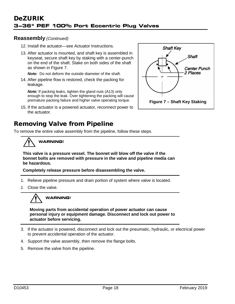#### **Reassembly** *(Continued)*

- 12. Install the actuator—see Actuator Instructions.
- 13. After actuator is mounted, and shaft key is assembled in keyseat, secure shaft key by staking with a center-punch on the end of the shaft. Stake on both sides of the shaft as shown in Figure 7.

*Note:* Do not deform the outside diameter of the shaft.

14. After pipeline flow is restored, check the packing for leakage.

*Note:* If packing leaks, tighten the gland nuts (A13) only enough to stop the leak. Over tightening the packing will cause premature packing failure and higher valve operating torque.

15. If the actuator is a powered actuator, reconnect power to the actuator.

## Removing Valve from Pipeline

To remove the entire valve assembly from the pipeline, follow these steps.

# **WARNING!**

**This valve is a pressure vessel. The bonnet will blow off the valve if the bonnet bolts are removed with pressure in the valve and pipeline media can be hazardous.**

**Completely release pressure before disassembling the valve.**

- 1. Relieve pipeline pressure and drain portion of system where valve is located.
- 2. Close the valve.



**Moving parts from accidental operation of power actuator can cause personal injury or equipment damage. Disconnect and lock out power to actuator before servicing.**

- 3. If the actuator is powered, disconnect and lock out the pneumatic, hydraulic, or electrical power to prevent accidental operation of the actuator.
- 4. Support the valve assembly, then remove the flange bolts.
- 5. Remove the valve from the pipeline.